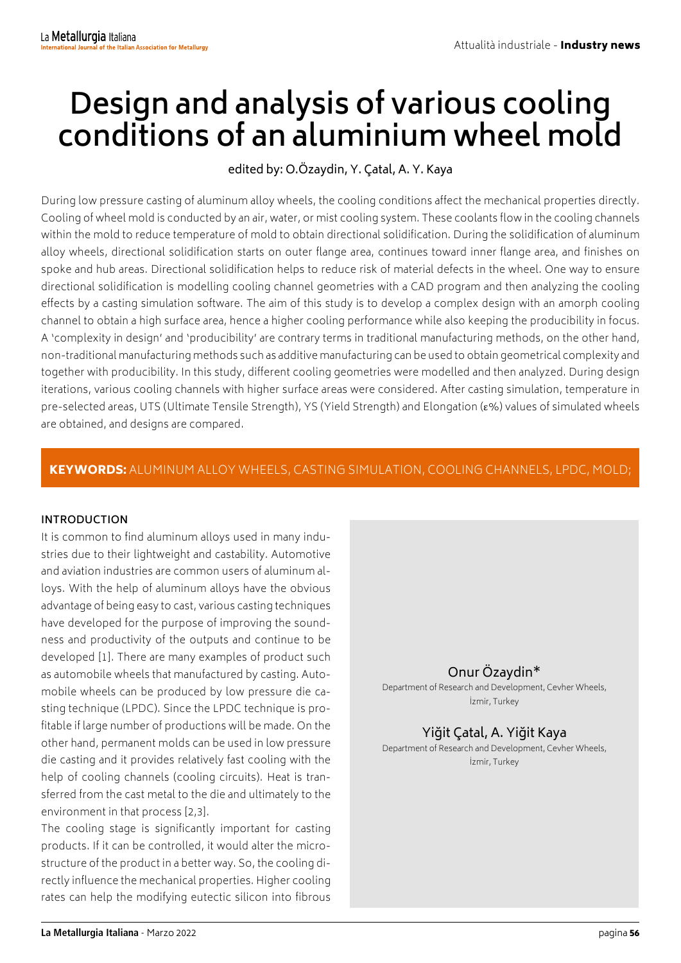# **Design and analysis of various cooling conditions of an aluminium wheel mold**

## edited by: O.Özaydin, Y. Çatal, A. Y. Kaya

During low pressure casting of aluminum alloy wheels, the cooling conditions affect the mechanical properties directly. Cooling of wheel mold is conducted by an air, water, or mist cooling system. These coolants flow in the cooling channels within the mold to reduce temperature of mold to obtain directional solidification. During the solidification of aluminum alloy wheels, directional solidification starts on outer flange area, continues toward inner flange area, and finishes on spoke and hub areas. Directional solidification helps to reduce risk of material defects in the wheel. One way to ensure directional solidification is modelling cooling channel geometries with a CAD program and then analyzing the cooling effects by a casting simulation software. The aim of this study is to develop a complex design with an amorph cooling channel to obtain a high surface area, hence a higher cooling performance while also keeping the producibility in focus. A 'complexity in design' and 'producibility' are contrary terms in traditional manufacturing methods, on the other hand, non-traditional manufacturing methods such as additive manufacturing can be used to obtain geometrical complexity and together with producibility. In this study, different cooling geometries were modelled and then analyzed. During design iterations, various cooling channels with higher surface areas were considered. After casting simulation, temperature in pre-selected areas, UTS (Ultimate Tensile Strength), YS (Yield Strength) and Elongation (ε%) values of simulated wheels are obtained, and designs are compared.

## KEYWORDS: ALUMINUM ALLOY WHEELS, CASTING SIMULATION, COOLING CHANNELS, LPDC, MOLD;

### **INTRODUCTION**

It is common to find aluminum alloys used in many industries due to their lightweight and castability. Automotive and aviation industries are common users of aluminum alloys. With the help of aluminum alloys have the obvious advantage of being easy to cast, various casting techniques have developed for the purpose of improving the soundness and productivity of the outputs and continue to be developed [1]. There are many examples of product such as automobile wheels that manufactured by casting. Automobile wheels can be produced by low pressure die casting technique (LPDC). Since the LPDC technique is profitable if large number of productions will be made. On the other hand, permanent molds can be used in low pressure die casting and it provides relatively fast cooling with the help of cooling channels (cooling circuits). Heat is transferred from the cast metal to the die and ultimately to the environment in that process [2,3].

The cooling stage is significantly important for casting products. If it can be controlled, it would alter the microstructure of the product in a better way. So, the cooling directly influence the mechanical properties. Higher cooling rates can help the modifying eutectic silicon into fibrous

## Onur Özaydin\*

Department of Research and Development, Cevher Wheels, İzmir, Turkey

## Yiğit Çatal, A. Yiğit Kaya

Department of Research and Development, Cevher Wheels, İzmir, Turkey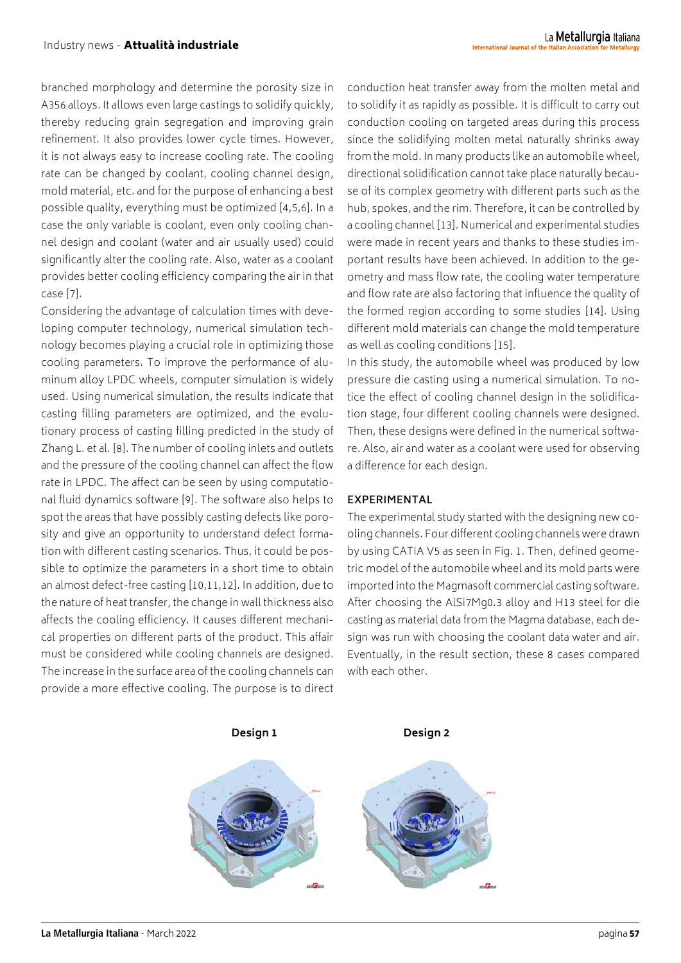branched morphology and determine the porosity size in A356 alloys. It allows even large castings to solidify quickly, thereby reducing grain segregation and improving grain refinement. It also provides lower cycle times. However, it is not always easy to increase cooling rate. The cooling rate can be changed by coolant, cooling channel design, mold material, etc. and for the purpose of enhancing a best possible quality, everything must be optimized [4,5,6]. In a case the only variable is coolant, even only cooling channel design and coolant (water and air usually used) could significantly alter the cooling rate. Also, water as a coolant provides better cooling efficiency comparing the air in that case [7].

Considering the advantage of calculation times with developing computer technology, numerical simulation technology becomes playing a crucial role in optimizing those cooling parameters. To improve the performance of aluminum alloy LPDC wheels, computer simulation is widely used. Using numerical simulation, the results indicate that casting filling parameters are optimized, and the evolutionary process of casting filling predicted in the study of Zhang L. et al. [8]. The number of cooling inlets and outlets and the pressure of the cooling channel can affect the flow rate in LPDC. The affect can be seen by using computational fluid dynamics software [9]. The software also helps to spot the areas that have possibly casting defects like porosity and give an opportunity to understand defect formation with different casting scenarios. Thus, it could be possible to optimize the parameters in a short time to obtain an almost defect-free casting [10,11,12]. In addition, due to the nature of heat transfer, the change in wall thickness also affects the cooling efficiency. It causes different mechanical properties on different parts of the product. This affair must be considered while cooling channels are designed. The increase in the surface area of the cooling channels can provide a more effective cooling. The purpose is to direct

conduction heat transfer away from the molten metal and to solidify it as rapidly as possible. It is difficult to carry out conduction cooling on targeted areas during this process since the solidifying molten metal naturally shrinks away from the mold. In many products like an automobile wheel, directional solidification cannot take place naturally because of its complex geometry with different parts such as the hub, spokes, and the rim. Therefore, it can be controlled by a cooling channel [13]. Numerical and experimental studies were made in recent years and thanks to these studies important results have been achieved. In addition to the geometry and mass flow rate, the cooling water temperature and flow rate are also factoring that influence the quality of the formed region according to some studies [14]. Using different mold materials can change the mold temperature as well as cooling conditions [15].

In this study, the automobile wheel was produced by low pressure die casting using a numerical simulation. To notice the effect of cooling channel design in the solidification stage, four different cooling channels were designed. Then, these designs were defined in the numerical software. Also, air and water as a coolant were used for observing a difference for each design.

### **EXPERIMENTAL**

The experimental study started with the designing new cooling channels. Four different cooling channels were drawn by using CATIA V5 as seen in Fig. 1. Then, defined geometric model of the automobile wheel and its mold parts were imported into the Magmasoft commercial casting software. After choosing the AlSi7Mg0.3 alloy and H13 steel for die casting as material data from the Magma database, each design was run with choosing the coolant data water and air. Eventually, in the result section, these 8 cases compared with each other.

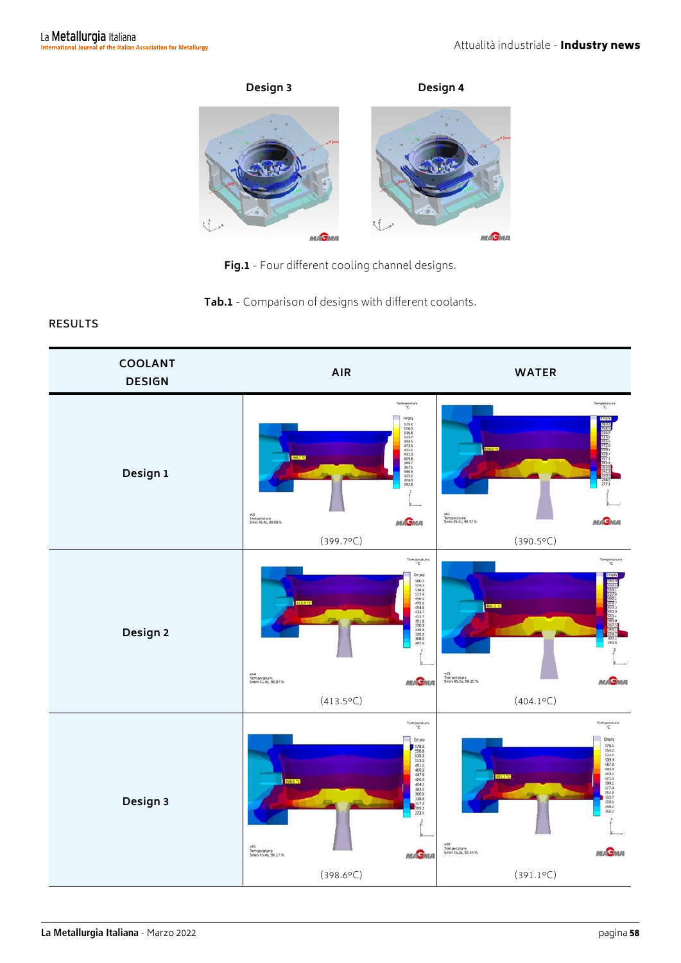

**Fig.1** - Four different cooling channel designs.

**Tab.1** - Comparison of designs with different coolants.

## **RESULTS**

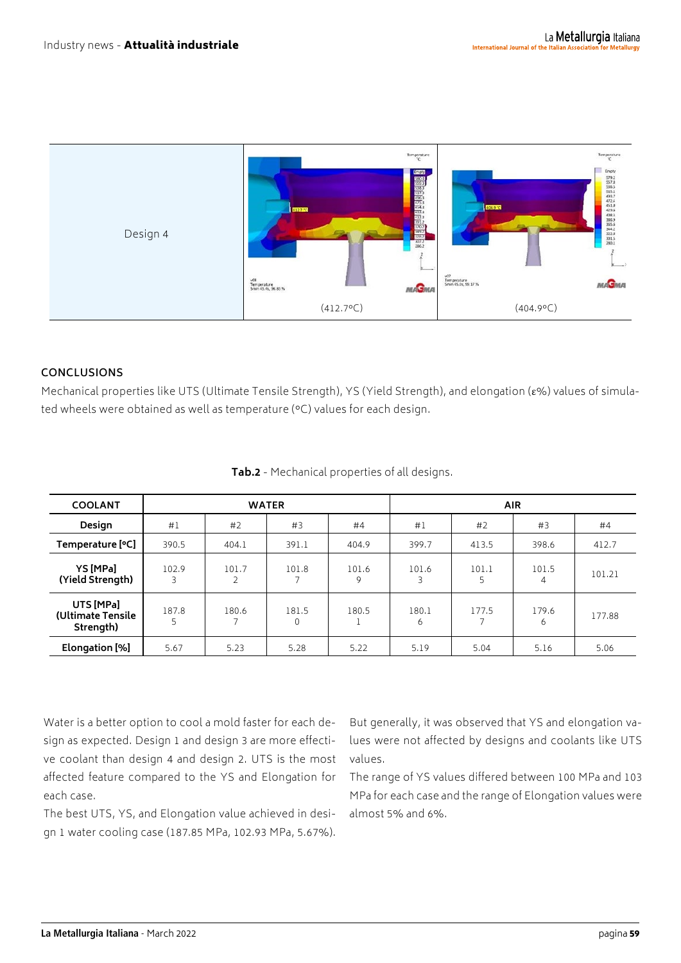

#### **CONCLUSIONS**

Mechanical properties like UTS (Ultimate Tensile Strength), YS (Yield Strength), and elongation (ε%) values of simulated wheels were obtained as well as temperature (°C) values for each design.

| <b>COOLANT</b>                              | <b>WATER</b> |            |            |            | <b>AIR</b> |            |            |        |
|---------------------------------------------|--------------|------------|------------|------------|------------|------------|------------|--------|
| Design                                      | #1           | #2         | #3         | #4         | #1         | #2         | #3         | #4     |
| Temperature [°C]                            | 390.5        | 404.1      | 391.1      | 404.9      | 399.7      | 413.5      | 398.6      | 412.7  |
| YS [MPa]<br>(Yield Strength)                | 102.9<br>3   | 101.7<br>2 | 101.8      | 101.6<br>9 | 101.6      | 101.1<br>5 | 101.5<br>4 | 101.21 |
| UTS [MPa]<br>(Ultimate Tensile<br>Strength) | 187.8<br>5   | 180.6      | 181.5<br>0 | 180.5      | 180.1<br>6 | 177.5      | 179.6<br>6 | 177.88 |
| Elongation [%]                              | 5.67         | 5.23       | 5.28       | 5.22       | 5.19       | 5.04       | 5.16       | 5.06   |

**Tab.2** - Mechanical properties of all designs.

Water is a better option to cool a mold faster for each design as expected. Design 1 and design 3 are more effective coolant than design 4 and design 2. UTS is the most affected feature compared to the YS and Elongation for each case.

The best UTS, YS, and Elongation value achieved in design 1 water cooling case (187.85 MPa, 102.93 MPa, 5.67%).

But generally, it was observed that YS and elongation values were not affected by designs and coolants like UTS values.

The range of YS values differed between 100 MPa and 103 MPa for each case and the range of Elongation values were almost 5% and 6%.